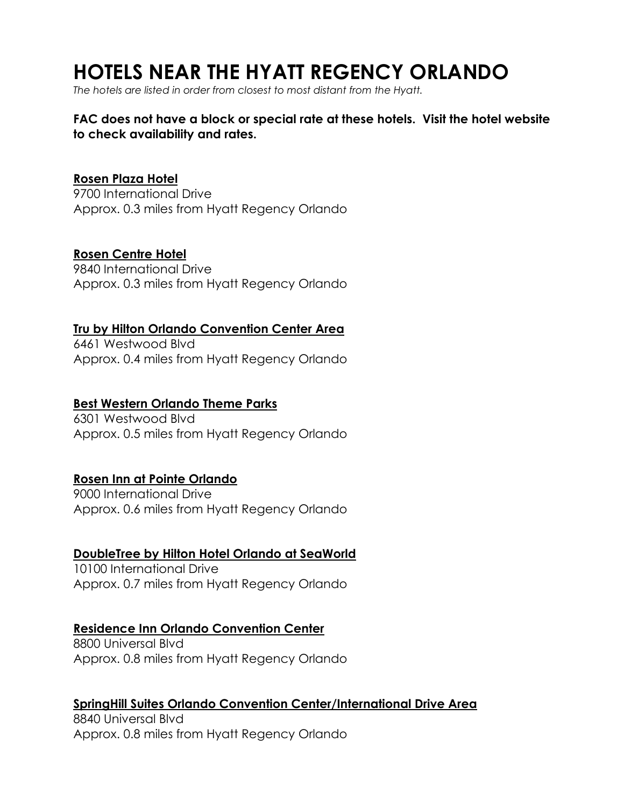# **HOTELS NEAR THE HYATT REGENCY ORLANDO**

*The hotels are listed in order from closest to most distant from the Hyatt.* 

#### **FAC does not have a block or special rate at these hotels. Visit the hotel website to check availability and rates.**

#### **[Rosen Plaza Hotel](https://www.rosenplaza.com/)**

9700 International Drive Approx. 0.3 miles from Hyatt Regency Orlando

#### **[Rosen Centre Hotel](https://www.rosencentre.com/)**

9840 International Drive Approx. 0.3 miles from Hyatt Regency Orlando

#### **[Tru by Hilton Orlando Convention Center Area](https://www.hilton.com/en/hotels/orlccru-tru-orlando-convention-center-area/?ctyhocn=ORLCCRU&arrivalDay=12&arrivalMonth=05&arrivalYear=2022&departureDay=14&departureMonth=05&departureYear=2022&numRooms=1&numAdults=3&numChildren=1&ta_refid=bad5a359-2c40-4e0a-b312-8e40fa3cb7e3&WT.mc_id=zLADA0WW1RU2PSH3TA4SEMTABL5HWB6ORLCCRU7_310602136&dclid=CI6s9vDnpfcCFQGuhwodeiYCHA)**

6461 Westwood Blvd Approx. 0.4 miles from Hyatt Regency Orlando

#### **[Best Western Orlando Theme Parks](https://www.bestwestern.com/en_US/book/hotel-rooms.10387.html?iata=00171880&ssob=BLBWI0004G&cid=BLBWI0004G:google:gmb:10387)**

6301 Westwood Blvd Approx. 0.5 miles from Hyatt Regency Orlando

## **[Rosen Inn at Pointe Orlando](https://www.roseninn9000.com/?utm_source=kiksmedia)**

9000 International Drive Approx. 0.6 miles from Hyatt Regency Orlando

#### **[DoubleTree by Hilton Hotel Orlando at SeaWorld](https://www.tripadvisor.com/Hotel_Review-g34515-d85452-Reviews-DoubleTree_by_Hilton_Hotel_Orlando_at_SeaWorld-Orlando_Florida.html)**

10100 International Drive Approx. 0.7 miles from Hyatt Regency Orlando

#### **[Residence Inn Orlando Convention Center](https://www.marriott.com/en-us/hotels/mcocv-residence-inn-orlando-convention-center/overview/?scid=bb1a189a-fec3-4d19-a255-54ba596febe2&y_source=1_MjgxOTI0OC03MTUtbG9jYXRpb24ud2Vic2l0ZQ%3D%3D)**

8800 Universal Blvd Approx. 0.8 miles from Hyatt Regency Orlando

#### **[SpringHill Suites Orlando Convention Center/International Drive Area](https://www.marriott.com/en-us/hotels/mcosc-springhill-suites-orlando-convention-center-international-drive-area/overview/?scid=bb1a189a-fec3-4d19-a255-54ba596febe2&y_source=1_Mzg5MDQ4NC03MTUtbG9jYXRpb24ud2Vic2l0ZQ%3D%3D)**

8840 Universal Blvd Approx. 0.8 miles from Hyatt Regency Orlando